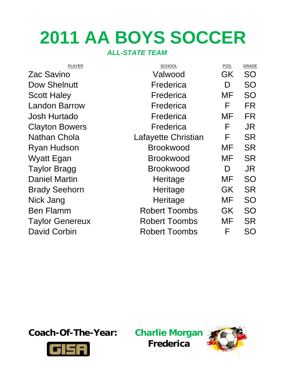# **2011 AA BOYS SOCCER**

# *ALL-STATE TEAM*

| <b>PLAYER</b>          | <b>SCHOOL</b>        | POS.      | GRADE     |
|------------------------|----------------------|-----------|-----------|
| Zac Savino             | Valwood              | GK        | <b>SO</b> |
| Dow Shelnutt           | Frederica            | D         | <b>SO</b> |
| <b>Scott Haley</b>     | Frederica            | MF        | <b>SO</b> |
| <b>Landon Barrow</b>   | Frederica            | F         | FR        |
| <b>Josh Hurtado</b>    | Frederica            | <b>MF</b> | <b>FR</b> |
| <b>Clayton Bowers</b>  | Frederica            | F         | JR.       |
| <b>Nathan Chola</b>    | Lafayette Christian  | F         | <b>SR</b> |
| <b>Ryan Hudson</b>     | <b>Brookwood</b>     | MF        | <b>SR</b> |
| <b>Wyatt Egan</b>      | <b>Brookwood</b>     | <b>MF</b> | <b>SR</b> |
| <b>Taylor Bragg</b>    | <b>Brookwood</b>     | D         | JR        |
| <b>Daniel Martin</b>   | Heritage             | MF        | <b>SO</b> |
| <b>Brady Seehorn</b>   | Heritage             | GK        | <b>SR</b> |
| Nick Jang              | Heritage             | <b>MF</b> | <b>SO</b> |
| <b>Ben Flamm</b>       | <b>Robert Toombs</b> | GK        | <b>SO</b> |
| <b>Taylor Genereux</b> | <b>Robert Toombs</b> | MF        | <b>SR</b> |
| <b>David Corbin</b>    | <b>Robert Toombs</b> | F         | <b>SO</b> |

**Coach-Of-The-Year: Charlie Morgan**



**Frederica**

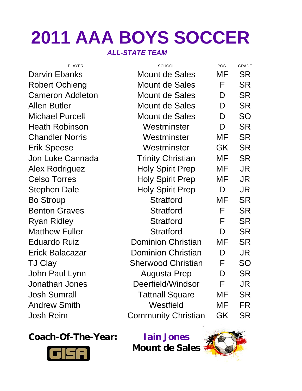# **2011 AAA BOYS SOCCER**

## *ALL-STATE TEAM*

| <b>PLAYER</b>           | <b>SCHOOL</b>              | POS.      | <b>GRADE</b> |
|-------------------------|----------------------------|-----------|--------------|
| <b>Darvin Ebanks</b>    | <b>Mount de Sales</b>      | MF        | <b>SR</b>    |
| <b>Robert Ochieng</b>   | Mount de Sales             | F         | <b>SR</b>    |
| <b>Cameron Addleton</b> | <b>Mount de Sales</b>      | D         | <b>SR</b>    |
| <b>Allen Butler</b>     | Mount de Sales             | D         | <b>SR</b>    |
| <b>Michael Purcell</b>  | <b>Mount de Sales</b>      | D         | <b>SO</b>    |
| <b>Heath Robinson</b>   | Westminster                | D         | <b>SR</b>    |
| <b>Chandler Norris</b>  | Westminster                | MF        | <b>SR</b>    |
| <b>Erik Speese</b>      | Westminster                | <b>GK</b> | <b>SR</b>    |
| <b>Jon Luke Cannada</b> | <b>Trinity Christian</b>   | MF        | <b>SR</b>    |
| <b>Alex Rodriguez</b>   | <b>Holy Spirit Prep</b>    | MF        | JR.          |
| <b>Celso Torres</b>     | <b>Holy Spirit Prep</b>    | MF        | JR.          |
| Stephen Dale            | <b>Holy Spirit Prep</b>    | D         | JR.          |
| <b>Bo Stroup</b>        | <b>Stratford</b>           | MF        | <b>SR</b>    |
| <b>Benton Graves</b>    | <b>Stratford</b>           | F         | <b>SR</b>    |
| <b>Ryan Ridley</b>      | <b>Stratford</b>           | F         | <b>SR</b>    |
| <b>Matthew Fuller</b>   | <b>Stratford</b>           | D         | <b>SR</b>    |
| <b>Eduardo Ruiz</b>     | <b>Dominion Christian</b>  | MF        | <b>SR</b>    |
| <b>Erick Balacazar</b>  | <b>Dominion Christian</b>  | D         | JR.          |
| <b>TJ Clay</b>          | <b>Sherwood Christian</b>  | F         | <b>SO</b>    |
| John Paul Lynn          | <b>Augusta Prep</b>        | D         | <b>SR</b>    |
| Jonathan Jones          | Deerfield/Windsor          | F         | JR           |
| <b>Josh Sumrall</b>     | <b>Tattnall Square</b>     | MF        | <b>SR</b>    |
| <b>Andrew Smith</b>     | Westfield                  | MF        | <b>FR</b>    |
| <b>Josh Reim</b>        | <b>Community Christian</b> | GK        | <b>SR</b>    |
|                         |                            |           |              |

# **Coach-Of-The-Year: Iain Jones**



**Mount de Sales** 

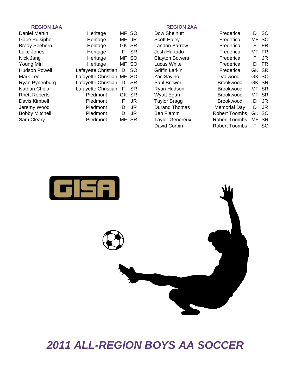### **REGION 1AA REGION 2AA**

| Daniel Martin         | Heritage                  |       | MF SO     | Dow Shelnutt           | Frederica            | D     | -SO       |
|-----------------------|---------------------------|-------|-----------|------------------------|----------------------|-------|-----------|
| Gabe Pulsipher        | Heritage                  | MF JR |           | <b>Scott Haley</b>     | Frederica            | MF SO |           |
| <b>Brady Seehorn</b>  | Heritage                  |       | GK SR     | Landon Barrow          | Frederica            | F.    | <b>FR</b> |
| Luke Jones            | Heritage                  | F     | <b>SR</b> | Josh Hurtado           | Frederica            | MF FR |           |
| Nick Jang             | Heritage                  |       | MF SO     | <b>Clayton Bowers</b>  | Frederica            | F.    | JR        |
| Young Min             | Heritage                  |       | MF SO     | Lucas White            | Frederica            | D     | FR        |
| <b>Hudson Powell</b>  | Lafayette Christian       | D     | <b>SO</b> | Griffin Larkin         | Frederica            | GK SR |           |
| Mark Lee              | Lafayette Christian MF SO |       |           | Zac Savino             | Valwood              | GK SO |           |
| Ryan Pynenburg        | Lafayette Christian       | D     | <b>SR</b> | Paul Brewer            | <b>Brookwood</b>     | GK SR |           |
| Nathan Chola          | Lafayette Christian       | F     | <b>SR</b> | Ryan Hudson            | <b>Brookwood</b>     | MF SR |           |
| <b>Rhett Roberts</b>  | Piedmont                  |       | GK SR     | Wyatt Egan             | <b>Brookwood</b>     | MF SR |           |
| Davis Kimbell         | Piedmont                  | F     | JR        | <b>Taylor Bragg</b>    | <b>Brookwood</b>     | D     | JR        |
| Jeremy Wood           | Piedmont                  | D     | JR.       | <b>Durand Thomas</b>   | Memorial Day         | D     | JR        |
| <b>Bobby Mitchell</b> | Piedmont                  | D     | JR        | Ben Flamm              | <b>Robert Toombs</b> | GK SO |           |
| Sam Cleary            | Piedmont                  |       | MF SR     | <b>Taylor Genereux</b> | <b>Robert Toombs</b> | MF SR |           |
|                       |                           |       |           |                        |                      |       |           |

| Dow Shelnutt          | Frederica            | D     | SO  |
|-----------------------|----------------------|-------|-----|
| Scott Haley           | Frederica            | MF.   | SO. |
| Landon Barrow         | Frederica            | F     | FR  |
| Josh Hurtado          | Frederica            | MF    | FR  |
| <b>Clayton Bowers</b> | Frederica            | F     | JR  |
| Lucas White           | Frederica            | D     | FR  |
| Griffin Larkin        | Frederica            | GK SR |     |
| Zac Savino            | Valwood              | GK SO |     |
| Paul Brewer           | Brookwood            | GK SR |     |
| Ryan Hudson           | Brookwood            | MF    | SR  |
| Wyatt Egan            | Brookwood            | MF SR |     |
| Taylor Bragg          | Brookwood            | D     | JR  |
| Durand Thomas         | Memorial Day         | D     | JR  |
| Ben Flamm             | Robert Toombs        | GK SO |     |
| Taylor Genereux       | <b>Robert Toombs</b> | MF.   | SR  |
| David Corbin          | <b>Robert Toombs</b> | F     | SO  |

| Frederica           | נו | SΟ        |
|---------------------|----|-----------|
| Frederica           | MF | SΟ        |
| Frederica           | F  | FR        |
| Frederica           | MF | FR        |
| Frederica           | F  | JR.       |
| Frederica           | D  | FR        |
| Frederica           | GK | <b>SR</b> |
| Valwood             | GK | SΟ        |
| Brookwood           | GK | SR        |
| Brookwood           | MF | SR        |
| Brookwood           | MF | SR        |
| Brookwood           | D  | JR        |
| <b>Memorial Day</b> | D  | JR        |
| Robert Toombs       | GK | SΟ        |
| Robert Toombs       | MF | SR        |
| Robert Toombs       | ⊢  | SO        |
|                     |    |           |



# *2011 ALL-REGION BOYS AA SOCCER*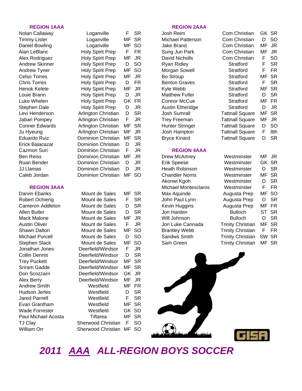### **REGION 1AAA REGION 2AAA**

| Darvin Ebanks         | Mount de Sales     | MF    | <b>SR</b> | Max Aquinde          | Augusta Prep             |           | MF SO     |
|-----------------------|--------------------|-------|-----------|----------------------|--------------------------|-----------|-----------|
| Robert Ochieng        | Mount de Sales     | F     | <b>SR</b> | John Paul Lynn       | Augusta Prep             | D         | <b>SR</b> |
| Cameron Addleton      | Mount de Sales     | D     | <b>SR</b> | Kevin Huggins        | Augusta Prep             | MF        | FR        |
| Allen Butler          | Mount de Sales     | D     | <b>SR</b> | Jon Harden           | <b>Bulloch</b>           | <b>ST</b> | SR        |
| Mack Malone           | Mount de Sales     | MF    | JR        | Will Johnson         | <b>Bulloch</b>           | D         | <b>SR</b> |
| <b>Austin Oliver</b>  | Mount de Sales     | F     | JR        | Jon Luke Cannada     | <b>Trinity Christian</b> | MF        | <b>SR</b> |
| Shawn Dalton          | Mount de Sales     | MF    | <b>SO</b> | <b>Brantley Webb</b> | <b>Trinity Christian</b> | F         | <b>FR</b> |
| Michael Purcell       | Mount de Sales     | D     | <b>SO</b> | Sandws Smith         | <b>Trinity Christian</b> | SW SR     |           |
| Stephen Slack         | Mount de Sales     |       | MF SO     | Sam Green            | <b>Trinity Christian</b> |           | MF SR     |
| Jonathan Jones        | Deerfield/Windsor  | F     | JR        |                      |                          |           |           |
| <b>Collin Dennis</b>  | Deerfield/Windsor  | D     | <b>SR</b> |                      |                          |           |           |
| <b>Trey Puckett</b>   | Deerfield/Windsor  | MF SR |           |                      |                          |           |           |
| Sriram Gadde          | Deerfield/Windsor  |       | MF SR     |                      |                          |           |           |
| Don Scozzarri         | Deerfield/Windsor  | GK JR |           |                      |                          |           |           |
| Alex Berry            | Deerfield/Windsor  | MF    | JR.       |                      |                          |           |           |
| <b>Andrew Smith</b>   | Westfield          | MF FR |           |                      |                          |           |           |
| Hudson Jerles         | Westfield          | D     | <b>SR</b> |                      |                          |           |           |
| Jared Parnell         | Westfield          | F     | <b>SR</b> |                      |                          |           |           |
| Evan Grantham         | Westfield          | MF SR |           |                      |                          |           |           |
| <b>Wade Forrester</b> | Westfield          |       | GK SO     |                      |                          |           |           |
| Paul Michael Acosta   | Tiftarea           |       | MF SR     |                      |                          |           |           |
| <b>TJ Clay</b>        | Sherwood Christian | F     | <b>SO</b> |                      |                          |           |           |
| <b>William Orr</b>    | Sherwood Christian | МF    | <b>SO</b> |                      |                          |           |           |

| Nolan Callaway        | Loganville                | F   | <b>SR</b> | Josh Reim                | Com Christian          |    | GK SR     |
|-----------------------|---------------------------|-----|-----------|--------------------------|------------------------|----|-----------|
| <b>Timmy Lister</b>   | Loganville                | MF  | <b>SR</b> | <b>Michael Patterson</b> | Com Christian          | D  | <b>SO</b> |
| Daniel Bowling        | Loganville                | MF  | <b>SO</b> | Jake Brand               | Com Christian          | MF | <b>JR</b> |
| Alan LeBlanc          | Holy Spirit Prep          | F   | <b>FR</b> | Sung Jun Park            | Com Christian          | MF | <b>JR</b> |
| Alex Rodriguez        | Holy Spirit Prep          | MF  | JR        | David Nicholls           | Com Christian          | F  | <b>SO</b> |
| <b>Andrew Skinner</b> | Holy Spirit Prep          | D   | <b>SO</b> | <b>Ryan Ridley</b>       | Stratford              | F  | <b>SR</b> |
| <b>Andrew Tyner</b>   | Holy Spirit Prep          | MF  | <b>SO</b> | Morgan Sowell            | Stratford              | F  | <b>FR</b> |
| <b>Celso Torres</b>   | Holy Spirit Prep          | МF  | JR        | Bo Stroup                | Stratford              | MF | <b>SR</b> |
| <b>Chris Torres</b>   | <b>Holy Spirit Prep</b>   | D   | <b>FR</b> | <b>Benton Graves</b>     | Stratford              | F  | <b>SR</b> |
| Henok Kelete          | Holy Spirit Prep          | МF  | JR        | Kyle Webb                | Stratford              | MF | <b>SR</b> |
| Louie Brann           | Holy Spirit Prep          | D   | JR        | <b>Matthew Fuller</b>    | Stratford              | D  | <b>SR</b> |
| Luke Whelen           | Holy Spirit Prep          | GK. | <b>FR</b> | <b>Connor McCue</b>      | Stratford              | MF | <b>FR</b> |
| Stephen Dale          | Holy Spirit Prep          | D   | <b>JR</b> | Austin Etheridge         | Stratford              | D  | <b>JR</b> |
| Levi Henderson        | Arlington Christian       | D   | <b>SR</b> | Josh Sumrall             | <b>Tattnall Square</b> | MF | <b>SR</b> |
| Jabari Pompey         | Arlington Christian       | F   | JR        | <b>Trey Freeman</b>      | <b>Tattnall Square</b> | MF | <b>JR</b> |
| <b>Conner Edwards</b> | Arlington Christian       | МF  | <b>SR</b> | <b>Hunter Stringer</b>   | <b>Tattnall Square</b> | D  | <b>SO</b> |
| Ju Hyeung             | Arlington Christian       | MF  | JR        | Josh Hampton             | <b>Tattnall Square</b> | F  | 8th       |
| Eduardo Ruiz          | Dominion Christian        | MF  | <b>SR</b> | <b>Bryce Kinard</b>      | <b>Tattnall Square</b> | D  | <b>SR</b> |
| Erick Balacazar       | Dominion Christian        | D   | JR        |                          |                        |    |           |
| Cazmon Suri           | <b>Dominion Christian</b> | F   | JR        | <b>REGION 4AAA</b>       |                        |    |           |
| <b>Ben Reiss</b>      | Dominion Christian        | MF  | JR        | Drew McArtney            | Westminster            | MF | JR        |
| Ruan Bender           | <b>Dominion Christian</b> | D   | JR        | <b>Erik Speese</b>       | Westminster            |    | GK SR     |
| JJ Llamas             | <b>Dominion Christian</b> | D   | JR        | Heath Robinson           | Westminster            | D  | <b>SR</b> |
| Caleb Jordan          | <b>Dominion Christian</b> | ΜF  | <b>SO</b> | <b>Chandler Norris</b>   | Westminster            | MF | -SR       |
|                       |                           |     |           | Akonwi Kaoh              | Westminster            | D  | <b>SR</b> |

| Mount de Sales     | МF | SR        |
|--------------------|----|-----------|
| Mount de Sales     | F  | SR        |
| Mount de Sales     | D  | SR        |
| Mount de Sales     | D  | <b>SR</b> |
| Mount de Sales     | MF | JR        |
| Mount de Sales     | F  | JR        |
| Mount de Sales     | MF | SO        |
| Mount de Sales     | D  | SO        |
| Mount de Sales     | MF | SΟ        |
| Deerfield/Windsor  | F  | JR        |
| Deerfield/Windsor  | D  | SR        |
| Deerfield/Windsor  | MF | SR        |
| Deerfield/Windsor  | MF | SR        |
| Deerfield/Windsor  | GK | JR        |
| Deerfield/Windsor  | MF | JR        |
| Westfield          | MF | FR        |
| Westfield          | D  | SR        |
| Westfield          | F  | SR        |
| Westfield          | MF | SR        |
| Westfield          | GK | SO        |
| <b>Tiftarea</b>    | МF | SR        |
| Sherwood Christian | F  | SO        |
| Sherwood Christian | MF | SO        |

Akonwi Kgoh **REGION 3AAA** Michael Montesclaros Jon Luke Cannada Brantley Webb Sandws Smith Trinity Christian SW SR Sam Green Trinity Christian MF SR

| <b>Com Christian</b>                                 | D         | SO        |
|------------------------------------------------------|-----------|-----------|
| Com Christian                                        | MF        | JR        |
| Com Christian                                        | MF        | JR        |
| Com Christian                                        | F         | SO        |
| Stratford                                            | F         | <b>SR</b> |
| <b>Stratford</b>                                     | F         | FR        |
| Stratford                                            | ΜF        | SR        |
| Stratford                                            | F         | SR        |
| <b>Stratford</b>                                     | MF        | <b>SR</b> |
| Stratford                                            | D         | <b>SR</b> |
| Stratford                                            | MF        | FR        |
| <b>Stratford</b>                                     | D         | JR        |
| <b>Tattnall Square</b>                               | ΜF        | <b>SR</b> |
| <b>Tattnall Square</b>                               | MF        | JR        |
| <b>Tattnall Square</b>                               | D         | SO        |
| <b>Tattnall Square</b>                               | F         | 8th       |
| <b>Tattnall Square</b>                               | D         | <b>SR</b> |
|                                                      |           |           |
| Westminster                                          | МF        | JR        |
| Westminster                                          | GK        | <b>SR</b> |
| Westminster                                          |           |           |
|                                                      | D         | <b>SR</b> |
| Westminster                                          | МF        | SR        |
| Westminster                                          | D         | SR        |
| Westminster                                          | F         | FR        |
| Augusta Prep                                         | MF        | SO        |
| Augusta Prep                                         | D         | SR        |
| Augusta Prep                                         | MF        | FR        |
| <b>Bulloch</b>                                       | <b>ST</b> | <b>SR</b> |
| <b>Bulloch</b>                                       | D         | <b>SR</b> |
|                                                      | MF        | <b>SR</b> |
| <b>Trinity Christian</b><br><b>Trinity Christian</b> | F         | FR        |



# *2011 AAA ALL-REGION BOYS SOCCER*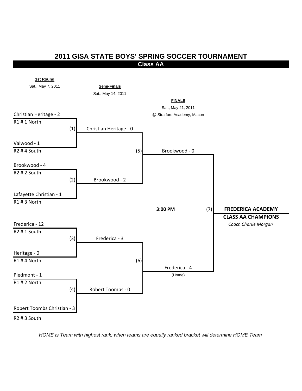## **2011 GISA STATE BOYS' SPRING SOCCER TOURNAMENT Class AA**



*HOME is Team with highest rank; when teams are equally ranked bracket will determine HOME Team*